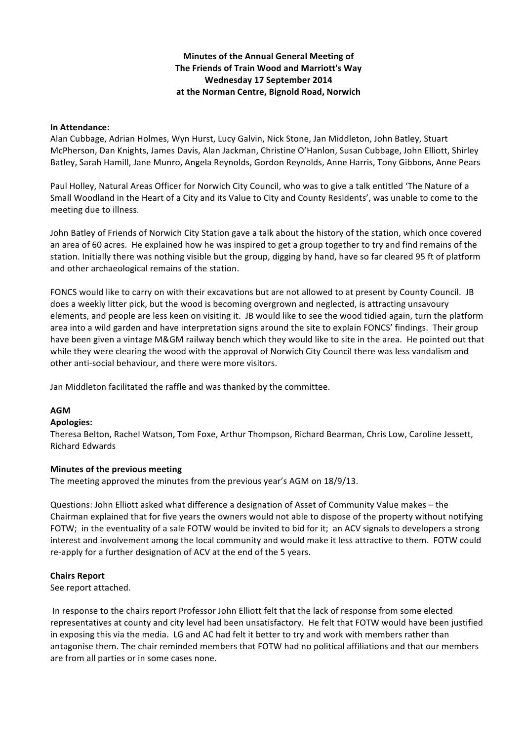## **Minutes of the Annual General Meeting of The Friends of Train Wood and Marriott's Way Wednesday 17 September 2014** at the Norman Centre, Bignold Road, Norwich

### **In Attendance:**

Alan Cubbage, Adrian Holmes, Wyn Hurst, Lucy Galvin, Nick Stone, Jan Middleton, John Batley, Stuart McPherson, Dan Knights, James Davis, Alan Jackman, Christine O'Hanlon, Susan Cubbage, John Elliott, Shirley Batley, Sarah Hamill, Jane Munro, Angela Reynolds, Gordon Reynolds, Anne Harris, Tony Gibbons, Anne Pears

Paul Holley, Natural Areas Officer for Norwich City Council, who was to give a talk entitled 'The Nature of a Small Woodland in the Heart of a City and its Value to City and County Residents', was unable to come to the meeting due to illness.

John Batley of Friends of Norwich City Station gave a talk about the history of the station, which once covered an area of 60 acres. He explained how he was inspired to get a group together to try and find remains of the station. Initially there was nothing visible but the group, digging by hand, have so far cleared 95 ft of platform and other archaeological remains of the station.

FONCS would like to carry on with their excavations but are not allowed to at present by County Council. JB does a weekly litter pick, but the wood is becoming overgrown and neglected, is attracting unsavoury elements, and people are less keen on visiting it. JB would like to see the wood tidied again, turn the platform area into a wild garden and have interpretation signs around the site to explain FONCS' findings. Their group have been given a vintage M&GM railway bench which they would like to site in the area. He pointed out that while they were clearing the wood with the approval of Norwich City Council there was less vandalism and other anti-social behaviour, and there were more visitors.

Jan Middleton facilitated the raffle and was thanked by the committee.

## **AGM**

#### **Apologies:**

Theresa Belton, Rachel Watson, Tom Foxe, Arthur Thompson, Richard Bearman, Chris Low, Caroline Jessett, Richard Edwards

#### **Minutes of the previous meeting**

The meeting approved the minutes from the previous year's AGM on 18/9/13.

Questions: John Elliott asked what difference a designation of Asset of Community Value makes – the Chairman explained that for five years the owners would not able to dispose of the property without notifying FOTW; in the eventuality of a sale FOTW would be invited to bid for it; an ACV signals to developers a strong interest and involvement among the local community and would make it less attractive to them. FOTW could re-apply for a further designation of ACV at the end of the 5 years.

#### **Chairs Report**

See report attached.

In response to the chairs report Professor John Elliott felt that the lack of response from some elected representatives at county and city level had been unsatisfactory. He felt that FOTW would have been justified in exposing this via the media. LG and AC had felt it better to try and work with members rather than antagonise them. The chair reminded members that FOTW had no political affiliations and that our members are from all parties or in some cases none.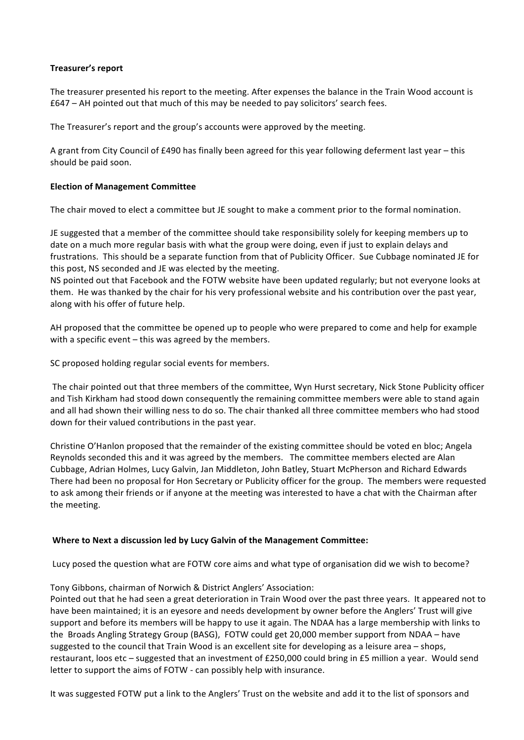## **Treasurer's report**

The treasurer presented his report to the meeting. After expenses the balance in the Train Wood account is  $£647 - AH$  pointed out that much of this may be needed to pay solicitors' search fees.

The Treasurer's report and the group's accounts were approved by the meeting.

A grant from City Council of £490 has finally been agreed for this year following deferment last year – this should be paid soon.

## **Election of Management Committee**

The chair moved to elect a committee but JE sought to make a comment prior to the formal nomination.

JE suggested that a member of the committee should take responsibility solely for keeping members up to date on a much more regular basis with what the group were doing, even if just to explain delays and frustrations. This should be a separate function from that of Publicity Officer. Sue Cubbage nominated JE for this post, NS seconded and JE was elected by the meeting.

NS pointed out that Facebook and the FOTW website have been updated regularly; but not everyone looks at them. He was thanked by the chair for his very professional website and his contribution over the past year, along with his offer of future help.

AH proposed that the committee be opened up to people who were prepared to come and help for example with a specific event  $-$  this was agreed by the members.

SC proposed holding regular social events for members.

The chair pointed out that three members of the committee, Wyn Hurst secretary, Nick Stone Publicity officer and Tish Kirkham had stood down consequently the remaining committee members were able to stand again and all had shown their willing ness to do so. The chair thanked all three committee members who had stood down for their valued contributions in the past year.

Christine O'Hanlon proposed that the remainder of the existing committee should be voted en bloc; Angela Reynolds seconded this and it was agreed by the members. The committee members elected are Alan Cubbage, Adrian Holmes, Lucy Galvin, Jan Middleton, John Batley, Stuart McPherson and Richard Edwards There had been no proposal for Hon Secretary or Publicity officer for the group. The members were requested to ask among their friends or if anyone at the meeting was interested to have a chat with the Chairman after the meeting.

## **Where to Next a discussion led by Lucy Galvin of the Management Committee:**

Lucy posed the question what are FOTW core aims and what type of organisation did we wish to become?

Tony Gibbons, chairman of Norwich & District Anglers' Association:

Pointed out that he had seen a great deterioration in Train Wood over the past three years. It appeared not to have been maintained; it is an eyesore and needs development by owner before the Anglers' Trust will give support and before its members will be happy to use it again. The NDAA has a large membership with links to the Broads Angling Strategy Group (BASG), FOTW could get 20,000 member support from NDAA – have suggested to the council that Train Wood is an excellent site for developing as a leisure area – shops, restaurant, loos etc - suggested that an investment of £250,000 could bring in £5 million a year. Would send letter to support the aims of FOTW - can possibly help with insurance.

It was suggested FOTW put a link to the Anglers' Trust on the website and add it to the list of sponsors and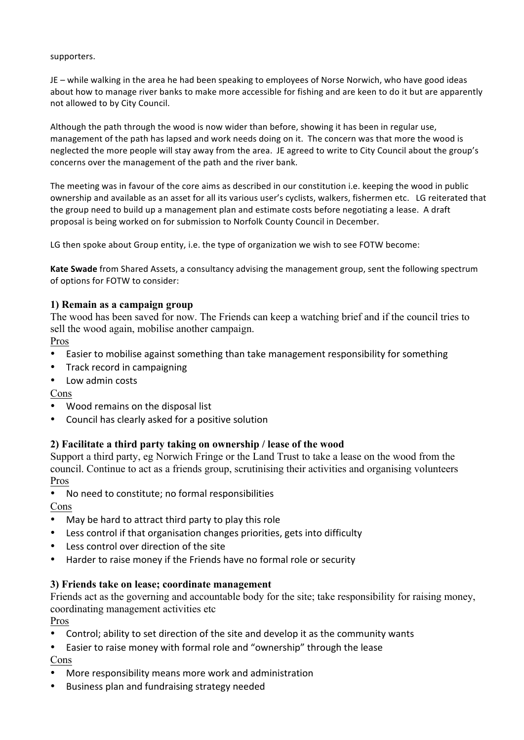## supporters.

JE – while walking in the area he had been speaking to employees of Norse Norwich, who have good ideas about how to manage river banks to make more accessible for fishing and are keen to do it but are apparently not allowed to by City Council.

Although the path through the wood is now wider than before, showing it has been in regular use, management of the path has lapsed and work needs doing on it. The concern was that more the wood is neglected the more people will stay away from the area. JE agreed to write to City Council about the group's concerns over the management of the path and the river bank.

The meeting was in favour of the core aims as described in our constitution i.e. keeping the wood in public ownership and available as an asset for all its various user's cyclists, walkers, fishermen etc. LG reiterated that the group need to build up a management plan and estimate costs before negotiating a lease. A draft proposal is being worked on for submission to Norfolk County Council in December.

LG then spoke about Group entity, i.e. the type of organization we wish to see FOTW become:

Kate Swade from Shared Assets, a consultancy advising the management group, sent the following spectrum of options for FOTW to consider:

# **1) Remain as a campaign group**

The wood has been saved for now. The Friends can keep a watching brief and if the council tries to sell the wood again, mobilise another campaign.

Pros

- Easier to mobilise against something than take management responsibility for something
- Track record in campaigning
- Low admin costs

Cons

- Wood remains on the disposal list
- Council has clearly asked for a positive solution

# **2) Facilitate a third party taking on ownership / lease of the wood**

Support a third party, eg Norwich Fringe or the Land Trust to take a lease on the wood from the council. Continue to act as a friends group, scrutinising their activities and organising volunteers Pros

• No need to constitute; no formal responsibilities

Cons

- May be hard to attract third party to play this role
- Less control if that organisation changes priorities, gets into difficulty
- Less control over direction of the site
- Harder to raise money if the Friends have no formal role or security

# **3) Friends take on lease; coordinate management**

Friends act as the governing and accountable body for the site; take responsibility for raising money, coordinating management activities etc

Pros

- Control; ability to set direction of the site and develop it as the community wants
- Easier to raise money with formal role and "ownership" through the lease Cons
- More responsibility means more work and administration
- Business plan and fundraising strategy needed